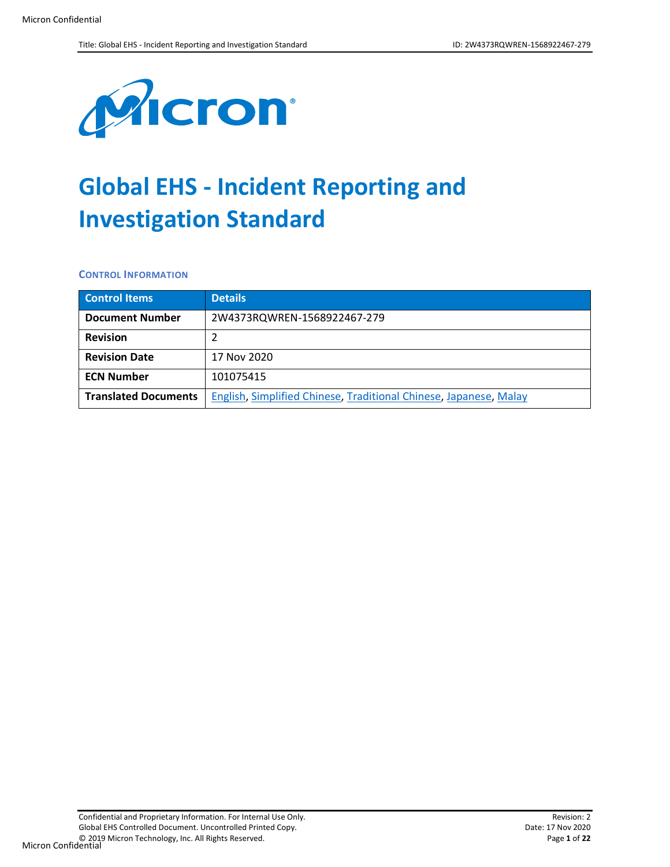

# **Global EHS - Incident Reporting and Investigation Standard**

**CONTROL INFORMATION**

| <b>Control Items</b>        | <b>Details</b>                                                    |  |
|-----------------------------|-------------------------------------------------------------------|--|
| <b>Document Number</b>      | 2W4373RQWREN-1568922467-279                                       |  |
| <b>Revision</b>             |                                                                   |  |
| <b>Revision Date</b>        | 17 Nov 2020                                                       |  |
| <b>ECN Number</b>           | 101075415                                                         |  |
| <b>Translated Documents</b> | English, Simplified Chinese, Traditional Chinese, Japanese, Malay |  |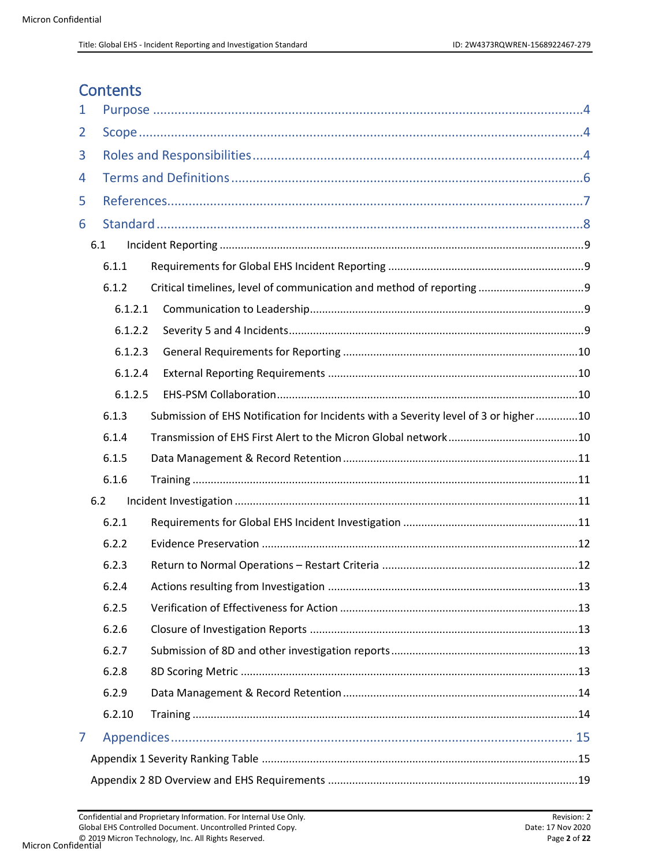# **Contents**

| 1 |         |                                                                                     |  |
|---|---------|-------------------------------------------------------------------------------------|--|
| 2 |         |                                                                                     |  |
| 3 |         |                                                                                     |  |
| 4 |         |                                                                                     |  |
| 5 |         |                                                                                     |  |
| 6 |         |                                                                                     |  |
|   | 6.1     |                                                                                     |  |
|   | 6.1.1   |                                                                                     |  |
|   | 6.1.2   |                                                                                     |  |
|   | 6.1.2.1 |                                                                                     |  |
|   | 6.1.2.2 |                                                                                     |  |
|   | 6.1.2.3 |                                                                                     |  |
|   | 6.1.2.4 |                                                                                     |  |
|   | 6.1.2.5 |                                                                                     |  |
|   | 6.1.3   | Submission of EHS Notification for Incidents with a Severity level of 3 or higher10 |  |
|   | 6.1.4   |                                                                                     |  |
|   | 6.1.5   |                                                                                     |  |
|   | 6.1.6   |                                                                                     |  |
|   | 6.2     |                                                                                     |  |
|   | 6.2.1   |                                                                                     |  |
|   | 6.2.2   |                                                                                     |  |
|   | 6.2.3   |                                                                                     |  |
|   | 6.2.4   |                                                                                     |  |
|   | 6.2.5   |                                                                                     |  |
|   | 6.2.6   |                                                                                     |  |
|   | 6.2.7   |                                                                                     |  |
|   | 6.2.8   |                                                                                     |  |
|   | 6.2.9   |                                                                                     |  |
|   | 6.2.10  |                                                                                     |  |
| 7 |         |                                                                                     |  |
|   |         |                                                                                     |  |
|   |         |                                                                                     |  |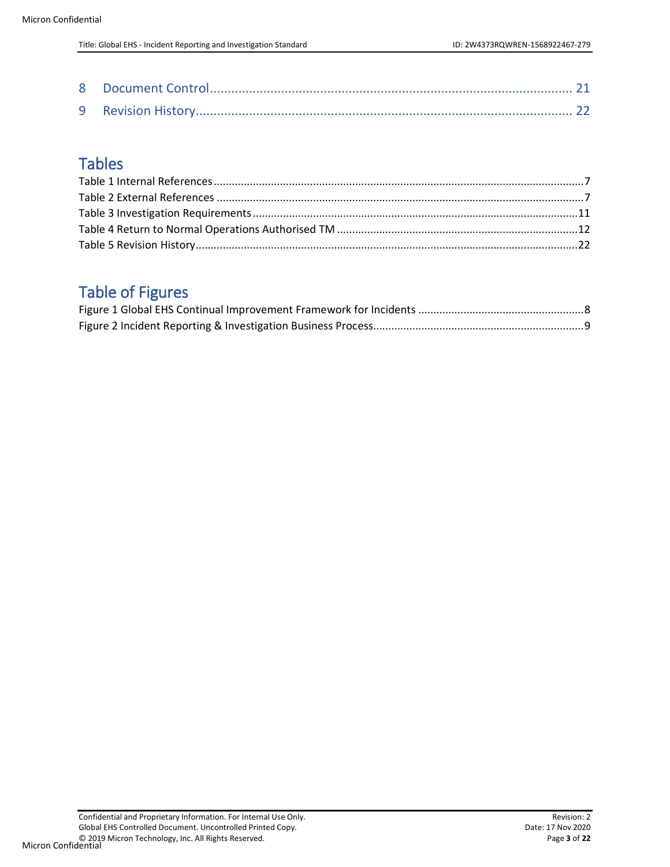# **Tables**

# Table of Figures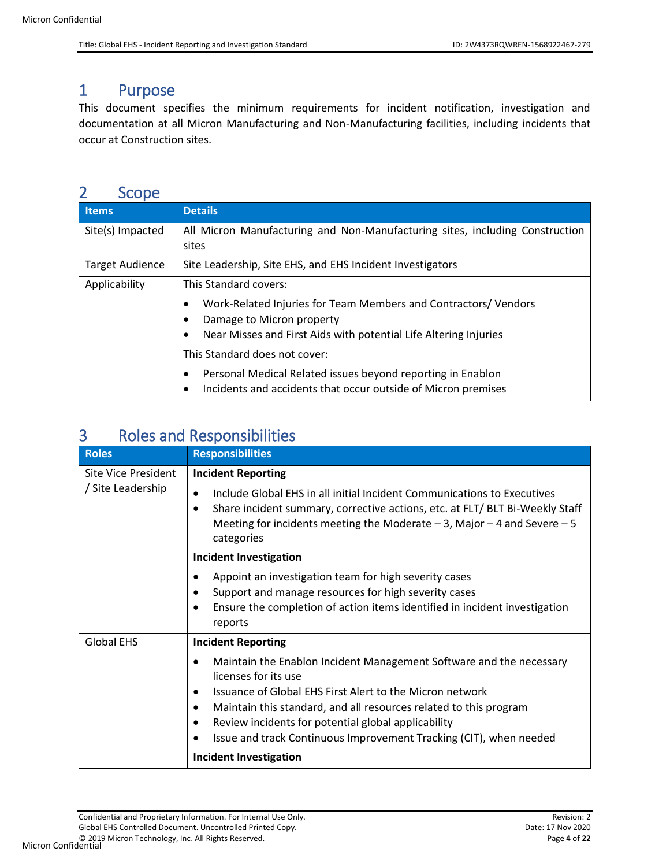# <span id="page-3-0"></span>1 Purpose

This document specifies the minimum requirements for incident notification, investigation and documentation at all Micron Manufacturing and Non-Manufacturing facilities, including incidents that occur at Construction sites.

# <span id="page-3-1"></span>2 Scope

| <b>Items</b>           | <b>Details</b>                                                                                                                                                                                                                                                                                                                                                                      |
|------------------------|-------------------------------------------------------------------------------------------------------------------------------------------------------------------------------------------------------------------------------------------------------------------------------------------------------------------------------------------------------------------------------------|
| Site(s) Impacted       | All Micron Manufacturing and Non-Manufacturing sites, including Construction<br>sites                                                                                                                                                                                                                                                                                               |
| <b>Target Audience</b> | Site Leadership, Site EHS, and EHS Incident Investigators                                                                                                                                                                                                                                                                                                                           |
| Applicability          | This Standard covers:<br>Work-Related Injuries for Team Members and Contractors/ Vendors<br>٠<br>Damage to Micron property<br>٠<br>Near Misses and First Aids with potential Life Altering Injuries<br>٠<br>This Standard does not cover:<br>Personal Medical Related issues beyond reporting in Enablon<br>٠<br>Incidents and accidents that occur outside of Micron premises<br>٠ |

# <span id="page-3-2"></span>3 Roles and Responsibilities

| <b>Roles</b>                             | <b>Responsibilities</b>                                                                                                                                                                                                                                                                                                                                                               |
|------------------------------------------|---------------------------------------------------------------------------------------------------------------------------------------------------------------------------------------------------------------------------------------------------------------------------------------------------------------------------------------------------------------------------------------|
| Site Vice President<br>/ Site Leadership | <b>Incident Reporting</b>                                                                                                                                                                                                                                                                                                                                                             |
|                                          | Include Global EHS in all initial Incident Communications to Executives<br>$\bullet$<br>Share incident summary, corrective actions, etc. at FLT/BLT Bi-Weekly Staff<br>$\bullet$<br>Meeting for incidents meeting the Moderate $-$ 3, Major $-$ 4 and Severe $-$ 5<br>categories                                                                                                      |
|                                          | <b>Incident Investigation</b>                                                                                                                                                                                                                                                                                                                                                         |
|                                          | Appoint an investigation team for high severity cases<br>Support and manage resources for high severity cases<br>$\bullet$<br>Ensure the completion of action items identified in incident investigation<br>reports                                                                                                                                                                   |
| <b>Global EHS</b>                        | <b>Incident Reporting</b>                                                                                                                                                                                                                                                                                                                                                             |
|                                          | Maintain the Enablon Incident Management Software and the necessary<br>٠<br>licenses for its use<br>Issuance of Global EHS First Alert to the Micron network<br>$\bullet$<br>Maintain this standard, and all resources related to this program<br>٠<br>Review incidents for potential global applicability<br>٠<br>Issue and track Continuous Improvement Tracking (CIT), when needed |
|                                          | <b>Incident Investigation</b>                                                                                                                                                                                                                                                                                                                                                         |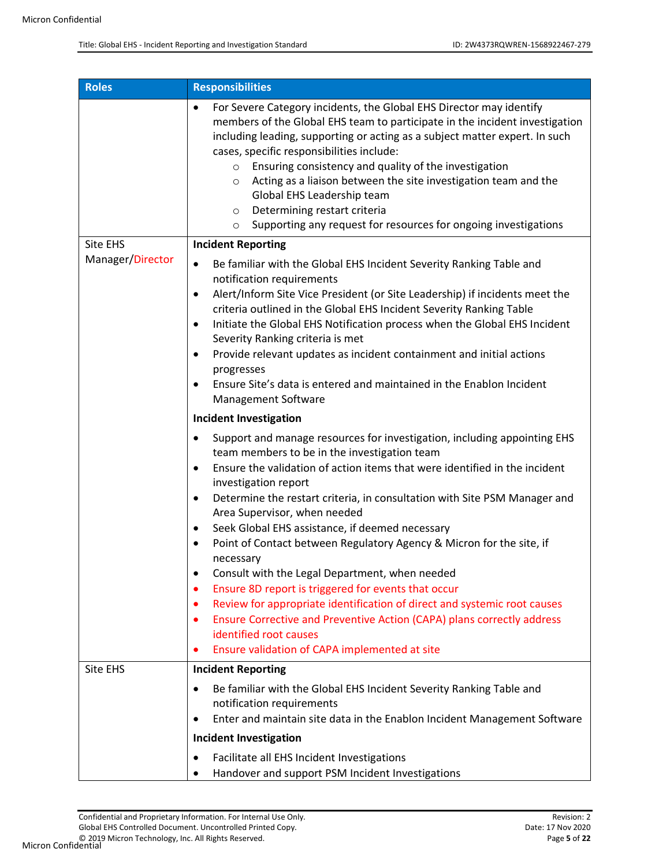| <b>Roles</b>     | <b>Responsibilities</b>                                                                                                                                                                                                                                                                                                                                                                                                                                                                                                                                                                                                                                                                 |  |
|------------------|-----------------------------------------------------------------------------------------------------------------------------------------------------------------------------------------------------------------------------------------------------------------------------------------------------------------------------------------------------------------------------------------------------------------------------------------------------------------------------------------------------------------------------------------------------------------------------------------------------------------------------------------------------------------------------------------|--|
|                  | For Severe Category incidents, the Global EHS Director may identify<br>$\bullet$<br>members of the Global EHS team to participate in the incident investigation<br>including leading, supporting or acting as a subject matter expert. In such<br>cases, specific responsibilities include:<br>Ensuring consistency and quality of the investigation<br>$\circ$<br>Acting as a liaison between the site investigation team and the<br>$\circ$<br>Global EHS Leadership team<br>Determining restart criteria<br>$\circ$<br>Supporting any request for resources for ongoing investigations<br>$\circ$                                                                                    |  |
| Site EHS         | <b>Incident Reporting</b>                                                                                                                                                                                                                                                                                                                                                                                                                                                                                                                                                                                                                                                               |  |
| Manager/Director | Be familiar with the Global EHS Incident Severity Ranking Table and<br>$\bullet$<br>notification requirements<br>Alert/Inform Site Vice President (or Site Leadership) if incidents meet the<br>$\bullet$<br>criteria outlined in the Global EHS Incident Severity Ranking Table<br>Initiate the Global EHS Notification process when the Global EHS Incident<br>$\bullet$<br>Severity Ranking criteria is met<br>Provide relevant updates as incident containment and initial actions<br>٠<br>progresses<br>Ensure Site's data is entered and maintained in the Enablon Incident<br>$\bullet$<br>Management Software                                                                   |  |
|                  | <b>Incident Investigation</b>                                                                                                                                                                                                                                                                                                                                                                                                                                                                                                                                                                                                                                                           |  |
|                  | Support and manage resources for investigation, including appointing EHS<br>$\bullet$<br>team members to be in the investigation team<br>Ensure the validation of action items that were identified in the incident<br>$\bullet$<br>investigation report<br>Determine the restart criteria, in consultation with Site PSM Manager and<br>$\bullet$<br>Area Supervisor, when needed<br>Seek Global EHS assistance, if deemed necessary<br>$\bullet$<br>Point of Contact between Regulatory Agency & Micron for the site, if<br>$\bullet$<br>necessary<br>Consult with the Legal Department, when needed<br>$\bullet$<br>Ensure 8D report is triggered for events that occur<br>$\bullet$ |  |
|                  | Review for appropriate identification of direct and systemic root causes<br>$\bullet$                                                                                                                                                                                                                                                                                                                                                                                                                                                                                                                                                                                                   |  |
|                  | Ensure Corrective and Preventive Action (CAPA) plans correctly address<br>$\bullet$<br>identified root causes<br>Ensure validation of CAPA implemented at site<br>٠                                                                                                                                                                                                                                                                                                                                                                                                                                                                                                                     |  |
| Site EHS         | <b>Incident Reporting</b>                                                                                                                                                                                                                                                                                                                                                                                                                                                                                                                                                                                                                                                               |  |
|                  | Be familiar with the Global EHS Incident Severity Ranking Table and<br>$\bullet$<br>notification requirements<br>Enter and maintain site data in the Enablon Incident Management Software<br>$\bullet$                                                                                                                                                                                                                                                                                                                                                                                                                                                                                  |  |
|                  | <b>Incident Investigation</b>                                                                                                                                                                                                                                                                                                                                                                                                                                                                                                                                                                                                                                                           |  |
|                  | Facilitate all EHS Incident Investigations<br>٠<br>Handover and support PSM Incident Investigations<br>٠                                                                                                                                                                                                                                                                                                                                                                                                                                                                                                                                                                                |  |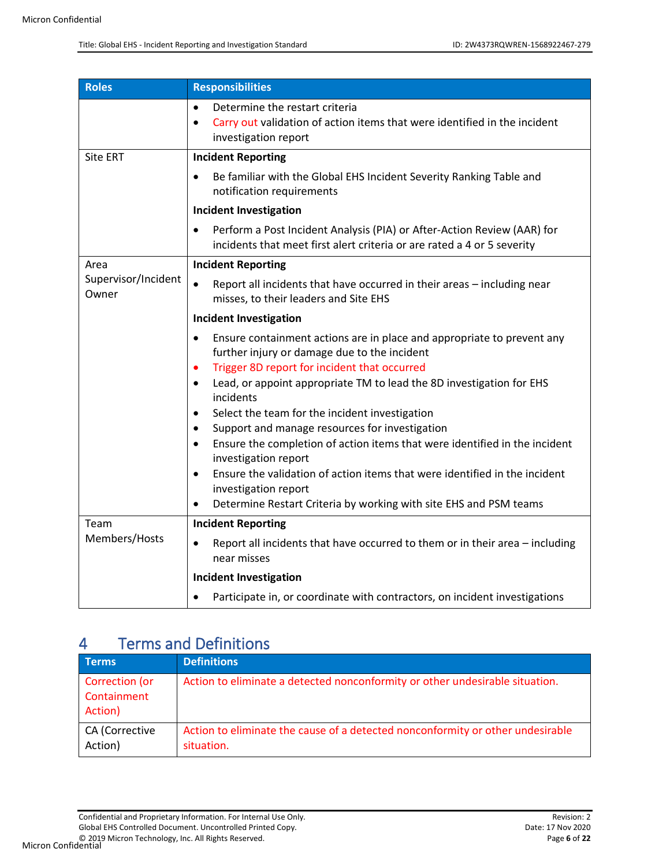| <b>Roles</b>                 | <b>Responsibilities</b>                                                                                                                                       |  |  |
|------------------------------|---------------------------------------------------------------------------------------------------------------------------------------------------------------|--|--|
|                              | Determine the restart criteria<br>$\bullet$<br>Carry out validation of action items that were identified in the incident<br>$\bullet$<br>investigation report |  |  |
| <b>Site ERT</b>              | <b>Incident Reporting</b>                                                                                                                                     |  |  |
|                              | Be familiar with the Global EHS Incident Severity Ranking Table and<br>notification requirements                                                              |  |  |
|                              | <b>Incident Investigation</b>                                                                                                                                 |  |  |
|                              | Perform a Post Incident Analysis (PIA) or After-Action Review (AAR) for<br>incidents that meet first alert criteria or are rated a 4 or 5 severity            |  |  |
| Area                         | <b>Incident Reporting</b>                                                                                                                                     |  |  |
| Supervisor/Incident<br>Owner | Report all incidents that have occurred in their areas - including near<br>$\bullet$<br>misses, to their leaders and Site EHS                                 |  |  |
|                              | <b>Incident Investigation</b>                                                                                                                                 |  |  |
|                              | Ensure containment actions are in place and appropriate to prevent any<br>$\bullet$<br>further injury or damage due to the incident                           |  |  |
|                              | Trigger 8D report for incident that occurred<br>$\bullet$<br>Lead, or appoint appropriate TM to lead the 8D investigation for EHS<br>$\bullet$<br>incidents   |  |  |
|                              | Select the team for the incident investigation<br>$\bullet$                                                                                                   |  |  |
|                              | Support and manage resources for investigation<br>$\bullet$                                                                                                   |  |  |
|                              | Ensure the completion of action items that were identified in the incident<br>$\bullet$<br>investigation report                                               |  |  |
|                              | Ensure the validation of action items that were identified in the incident<br>$\bullet$                                                                       |  |  |
|                              | investigation report                                                                                                                                          |  |  |
|                              | Determine Restart Criteria by working with site EHS and PSM teams<br>$\bullet$                                                                                |  |  |
| Team<br>Members/Hosts        | <b>Incident Reporting</b>                                                                                                                                     |  |  |
|                              | Report all incidents that have occurred to them or in their area - including<br>$\bullet$<br>near misses                                                      |  |  |
|                              | <b>Incident Investigation</b>                                                                                                                                 |  |  |
|                              | Participate in, or coordinate with contractors, on incident investigations                                                                                    |  |  |

# <span id="page-5-0"></span>4 Terms and Definitions

| <b>Terms</b>                             | <b>Definitions</b>                                                                           |
|------------------------------------------|----------------------------------------------------------------------------------------------|
| Correction (or<br>Containment<br>Action) | Action to eliminate a detected nonconformity or other undesirable situation.                 |
| CA (Corrective<br>Action)                | Action to eliminate the cause of a detected nonconformity or other undesirable<br>situation. |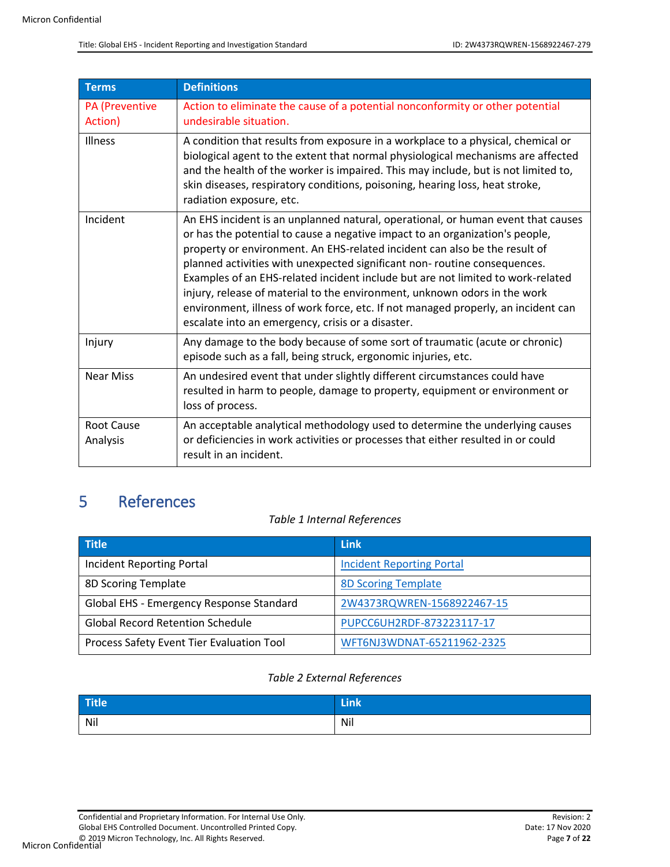| <b>Terms</b>                     | <b>Definitions</b>                                                                                                                                                                                                                                                                                                                                                                                                                                                                                                                                                                                                                   |
|----------------------------------|--------------------------------------------------------------------------------------------------------------------------------------------------------------------------------------------------------------------------------------------------------------------------------------------------------------------------------------------------------------------------------------------------------------------------------------------------------------------------------------------------------------------------------------------------------------------------------------------------------------------------------------|
| <b>PA</b> (Preventive<br>Action) | Action to eliminate the cause of a potential nonconformity or other potential<br>undesirable situation.                                                                                                                                                                                                                                                                                                                                                                                                                                                                                                                              |
| Illness                          | A condition that results from exposure in a workplace to a physical, chemical or<br>biological agent to the extent that normal physiological mechanisms are affected<br>and the health of the worker is impaired. This may include, but is not limited to,<br>skin diseases, respiratory conditions, poisoning, hearing loss, heat stroke,<br>radiation exposure, etc.                                                                                                                                                                                                                                                               |
| Incident                         | An EHS incident is an unplanned natural, operational, or human event that causes<br>or has the potential to cause a negative impact to an organization's people,<br>property or environment. An EHS-related incident can also be the result of<br>planned activities with unexpected significant non-routine consequences.<br>Examples of an EHS-related incident include but are not limited to work-related<br>injury, release of material to the environment, unknown odors in the work<br>environment, illness of work force, etc. If not managed properly, an incident can<br>escalate into an emergency, crisis or a disaster. |
| Injury                           | Any damage to the body because of some sort of traumatic (acute or chronic)<br>episode such as a fall, being struck, ergonomic injuries, etc.                                                                                                                                                                                                                                                                                                                                                                                                                                                                                        |
| <b>Near Miss</b>                 | An undesired event that under slightly different circumstances could have<br>resulted in harm to people, damage to property, equipment or environment or<br>loss of process.                                                                                                                                                                                                                                                                                                                                                                                                                                                         |
| <b>Root Cause</b><br>Analysis    | An acceptable analytical methodology used to determine the underlying causes<br>or deficiencies in work activities or processes that either resulted in or could<br>result in an incident.                                                                                                                                                                                                                                                                                                                                                                                                                                           |

# <span id="page-6-3"></span><span id="page-6-1"></span><span id="page-6-0"></span>5 References

### *Table 1 Internal References*

| <b>Title</b>                              | <b>Link</b>                      |
|-------------------------------------------|----------------------------------|
| Incident Reporting Portal                 | <b>Incident Reporting Portal</b> |
| 8D Scoring Template                       | <b>8D Scoring Template</b>       |
| Global EHS - Emergency Response Standard  | 2W4373RQWREN-1568922467-15       |
| <b>Global Record Retention Schedule</b>   | PUPCC6UH2RDF-873223117-17        |
| Process Safety Event Tier Evaluation Tool | WFT6NJ3WDNAT-65211962-2325       |

## *Table 2 External References*

<span id="page-6-2"></span>

| THE | . .<br>LITIK |
|-----|--------------|
| Nil | Nil          |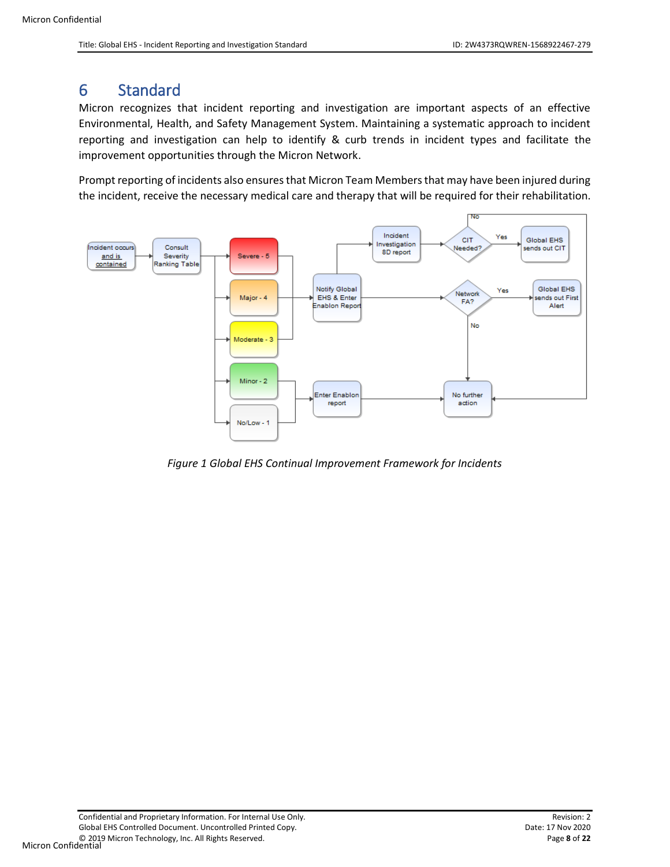# <span id="page-7-0"></span>6 Standard

Micron recognizes that incident reporting and investigation are important aspects of an effective Environmental, Health, and Safety Management System. Maintaining a systematic approach to incident reporting and investigation can help to identify & curb trends in incident types and facilitate the improvement opportunities through the Micron Network.

Prompt reporting of incidents also ensures that Micron Team Members that may have been injured during the incident, receive the necessary medical care and therapy that will be required for their rehabilitation.



<span id="page-7-1"></span>*Figure 1 Global EHS Continual Improvement Framework for Incidents*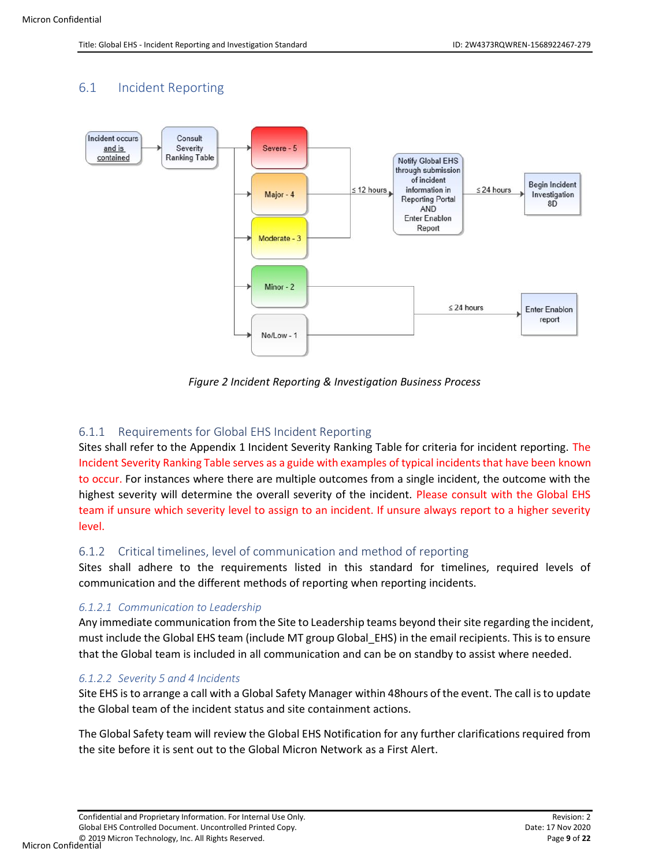## <span id="page-8-0"></span>6.1 Incident Reporting



*Figure 2 Incident Reporting & Investigation Business Process*

### <span id="page-8-5"></span><span id="page-8-1"></span>6.1.1 Requirements for Global EHS Incident Reporting

Sites shall refer to the Appendix 1 Incident Severity Ranking Table for criteria for incident reporting. The Incident Severity Ranking Table serves as a guide with examples of typical incidents that have been known to occur. For instances where there are multiple outcomes from a single incident, the outcome with the highest severity will determine the overall severity of the incident. Please consult with the Global EHS team if unsure which severity level to assign to an incident. If unsure always report to a higher severity level.

### <span id="page-8-2"></span>6.1.2 Critical timelines, level of communication and method of reporting

Sites shall adhere to the requirements listed in this standard for timelines, required levels of communication and the different methods of reporting when reporting incidents.

### <span id="page-8-3"></span>*6.1.2.1 Communication to Leadership*

Any immediate communication from the Site to Leadership teams beyond their site regarding the incident, must include the Global EHS team (include MT group Global\_EHS) in the email recipients. This is to ensure that the Global team is included in all communication and can be on standby to assist where needed.

### <span id="page-8-4"></span>*6.1.2.2 Severity 5 and 4 Incidents*

Site EHS is to arrange a call with a Global Safety Manager within 48hours of the event. The call is to update the Global team of the incident status and site containment actions.

The Global Safety team will review the Global EHS Notification for any further clarifications required from the site before it is sent out to the Global Micron Network as a First Alert.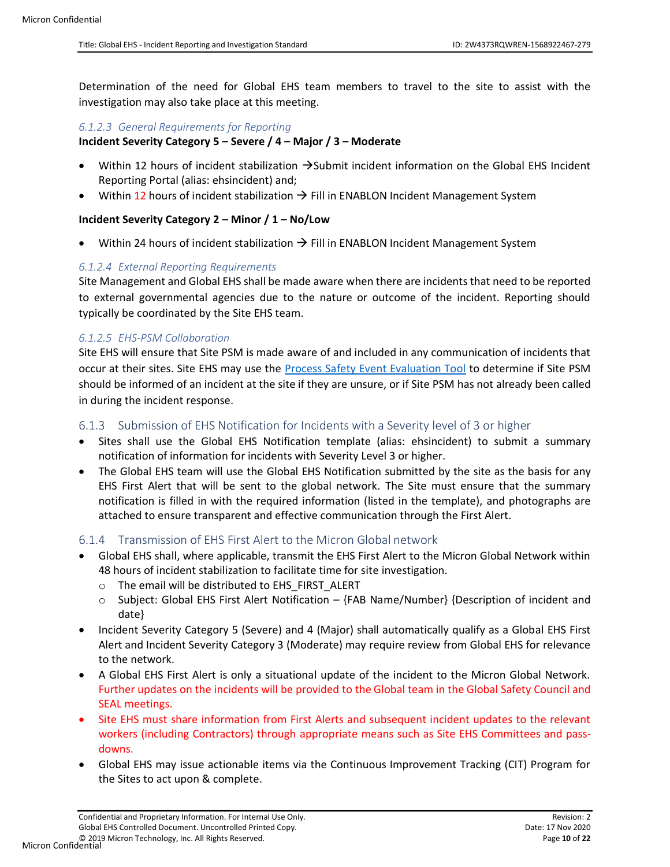Determination of the need for Global EHS team members to travel to the site to assist with the investigation may also take place at this meeting.

#### <span id="page-9-0"></span>*6.1.2.3 General Requirements for Reporting*

#### **Incident Severity Category 5 – Severe / 4 – Major / 3 – Moderate**

- Within 12 hours of incident stabilization →Submit incident information on the Global EHS Incident Reporting Portal (alias: ehsincident) and;
- Within 12 hours of incident stabilization  $\rightarrow$  Fill in ENABLON Incident Management System

#### **Incident Severity Category 2 – Minor / 1 – No/Low**

Within 24 hours of incident stabilization  $\rightarrow$  Fill in ENABLON Incident Management System

#### <span id="page-9-1"></span>*6.1.2.4 External Reporting Requirements*

Site Management and Global EHS shall be made aware when there are incidents that need to be reported to external governmental agencies due to the nature or outcome of the incident. Reporting should typically be coordinated by the Site EHS team.

#### <span id="page-9-2"></span>*6.1.2.5 EHS-PSM Collaboration*

Site EHS will ensure that Site PSM is made aware of and included in any communication of incidents that occur at their sites. Site EHS may use the [Process Safety Event Evaluation Tool](#page-6-0) to determine if Site PSM should be informed of an incident at the site if they are unsure, or if Site PSM has not already been called in during the incident response.

#### <span id="page-9-3"></span>6.1.3 Submission of EHS Notification for Incidents with a Severity level of 3 or higher

- Sites shall use the Global EHS Notification template (alias: ehsincident) to submit a summary notification of information for incidents with Severity Level 3 or higher.
- The Global EHS team will use the Global EHS Notification submitted by the site as the basis for any EHS First Alert that will be sent to the global network. The Site must ensure that the summary notification is filled in with the required information (listed in the template), and photographs are attached to ensure transparent and effective communication through the First Alert.

#### <span id="page-9-4"></span>6.1.4 Transmission of EHS First Alert to the Micron Global network

- Global EHS shall, where applicable, transmit the EHS First Alert to the Micron Global Network within 48 hours of incident stabilization to facilitate time for site investigation.
	- o The email will be distributed to EHS\_FIRST\_ALERT
	- $\circ$  Subject: Global EHS First Alert Notification {FAB Name/Number} {Description of incident and date}
- Incident Severity Category 5 (Severe) and 4 (Major) shall automatically qualify as a Global EHS First Alert and Incident Severity Category 3 (Moderate) may require review from Global EHS for relevance to the network.
- A Global EHS First Alert is only a situational update of the incident to the Micron Global Network. Further updates on the incidents will be provided to the Global team in the Global Safety Council and SEAL meetings.
- Site EHS must share information from First Alerts and subsequent incident updates to the relevant workers (including Contractors) through appropriate means such as Site EHS Committees and passdowns.
- Global EHS may issue actionable items via the Continuous Improvement Tracking (CIT) Program for the Sites to act upon & complete.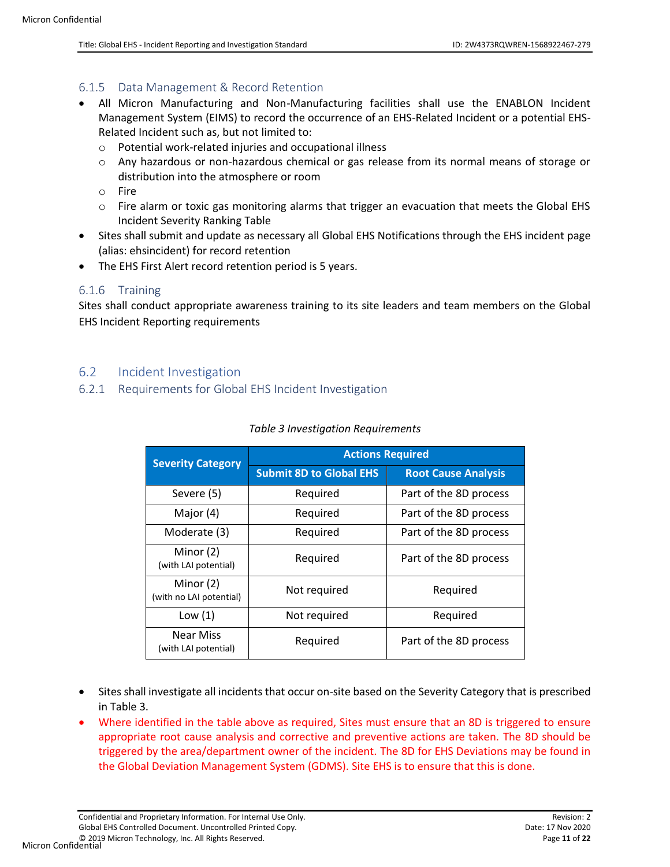### <span id="page-10-0"></span>6.1.5 Data Management & Record Retention

- All Micron Manufacturing and Non-Manufacturing facilities shall use the ENABLON Incident Management System (EIMS) to record the occurrence of an EHS-Related Incident or a potential EHS-Related Incident such as, but not limited to:
	- o Potential work-related injuries and occupational illness
	- o Any hazardous or non-hazardous chemical or gas release from its normal means of storage or distribution into the atmosphere or room
	- o Fire
	- o Fire alarm or toxic gas monitoring alarms that trigger an evacuation that meets the Global EHS Incident Severity Ranking Table
- Sites shall submit and update as necessary all Global EHS Notifications through the EHS incident page (alias: ehsincident) for record retention
- The EHS First Alert record retention period is 5 years.

#### <span id="page-10-1"></span>6.1.6 Training

Sites shall conduct appropriate awareness training to its site leaders and team members on the Global EHS Incident Reporting requirements

### <span id="page-10-2"></span>6.2 Incident Investigation

<span id="page-10-4"></span><span id="page-10-3"></span>6.2.1 Requirements for Global EHS Incident Investigation

| <b>Severity Category</b>               | <b>Actions Required</b>        |                            |  |
|----------------------------------------|--------------------------------|----------------------------|--|
|                                        | <b>Submit 8D to Global EHS</b> | <b>Root Cause Analysis</b> |  |
| Severe (5)                             | Required                       | Part of the 8D process     |  |
| Major (4)                              | Required                       | Part of the 8D process     |  |
| Moderate (3)                           | Required                       | Part of the 8D process     |  |
| Minor $(2)$<br>(with LAI potential)    | Required                       | Part of the 8D process     |  |
| Minor $(2)$<br>(with no LAI potential) | Not required                   | Required                   |  |
| Low $(1)$                              | Not required                   | Required                   |  |
| Near Miss<br>(with LAI potential)      | Required                       | Part of the 8D process     |  |

#### *Table 3 Investigation Requirements*

- Sites shall investigate all incidents that occur on-site based on the Severity Category that is prescribed in Table 3.
- Where identified in the table above as required, Sites must ensure that an 8D is triggered to ensure appropriate root cause analysis and corrective and preventive actions are taken. The 8D should be triggered by the area/department owner of the incident. The 8D for EHS Deviations may be found in the Global Deviation Management System (GDMS). Site EHS is to ensure that this is done.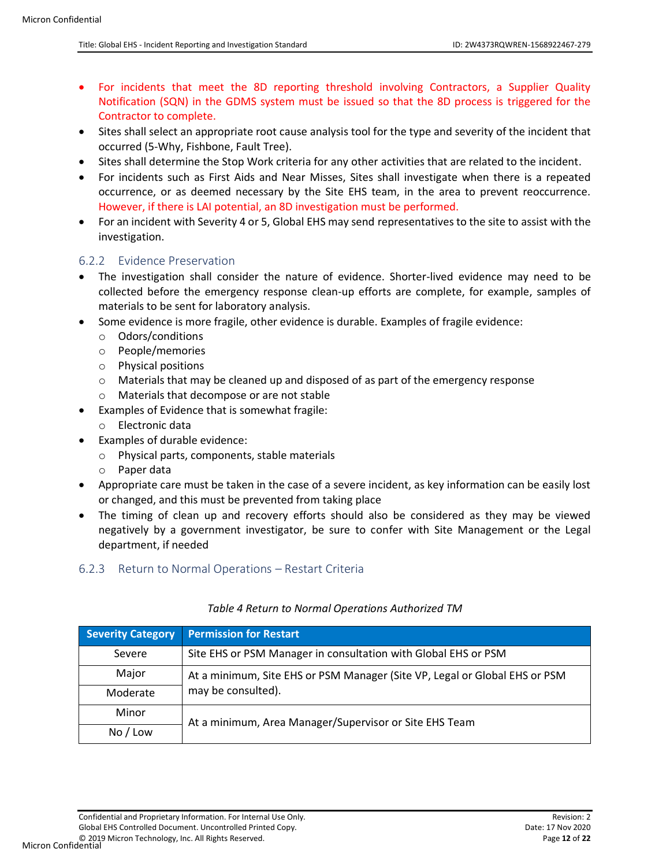- For incidents that meet the 8D reporting threshold involving Contractors, a Supplier Quality Notification (SQN) in the GDMS system must be issued so that the 8D process is triggered for the Contractor to complete.
- Sites shall select an appropriate root cause analysis tool for the type and severity of the incident that occurred (5-Why, Fishbone, Fault Tree).
- Sites shall determine the Stop Work criteria for any other activities that are related to the incident.
- For incidents such as First Aids and Near Misses, Sites shall investigate when there is a repeated occurrence, or as deemed necessary by the Site EHS team, in the area to prevent reoccurrence. However, if there is LAI potential, an 8D investigation must be performed.
- For an incident with Severity 4 or 5, Global EHS may send representatives to the site to assist with the investigation.

#### <span id="page-11-0"></span>6.2.2 Evidence Preservation

- The investigation shall consider the nature of evidence. Shorter-lived evidence may need to be collected before the emergency response clean-up efforts are complete, for example, samples of materials to be sent for laboratory analysis.
- Some evidence is more fragile, other evidence is durable. Examples of fragile evidence:
	- o Odors/conditions
	- o People/memories
	- o Physical positions
	- $\circ$  Materials that may be cleaned up and disposed of as part of the emergency response
	- o Materials that decompose or are not stable
- Examples of Evidence that is somewhat fragile:
	- o Electronic data
- Examples of durable evidence:
	- o Physical parts, components, stable materials
	- o Paper data
- Appropriate care must be taken in the case of a severe incident, as key information can be easily lost or changed, and this must be prevented from taking place
- The timing of clean up and recovery efforts should also be considered as they may be viewed negatively by a government investigator, be sure to confer with Site Management or the Legal department, if needed

### <span id="page-11-1"></span>6.2.3 Return to Normal Operations – Restart Criteria

<span id="page-11-2"></span>

| <b>Severity Category</b> | <b>Permission for Restart</b>                                                                    |  |
|--------------------------|--------------------------------------------------------------------------------------------------|--|
| Severe                   | Site EHS or PSM Manager in consultation with Global EHS or PSM                                   |  |
| Major                    | At a minimum, Site EHS or PSM Manager (Site VP, Legal or Global EHS or PSM<br>may be consulted). |  |
| Moderate                 |                                                                                                  |  |
| Minor                    | At a minimum, Area Manager/Supervisor or Site EHS Team                                           |  |
| No / Low                 |                                                                                                  |  |

#### *Table 4 Return to Normal Operations Authorized TM*

Confidential and Proprietary Information. For Internal Use Only. The context of the context of the Revision: 2 Global EHS Controlled Document. Uncontrolled Printed Copy. Date: 17 Nov 2020 © 2019 Micron Technology, Inc. All Rights Reserved. Page **12** of **22**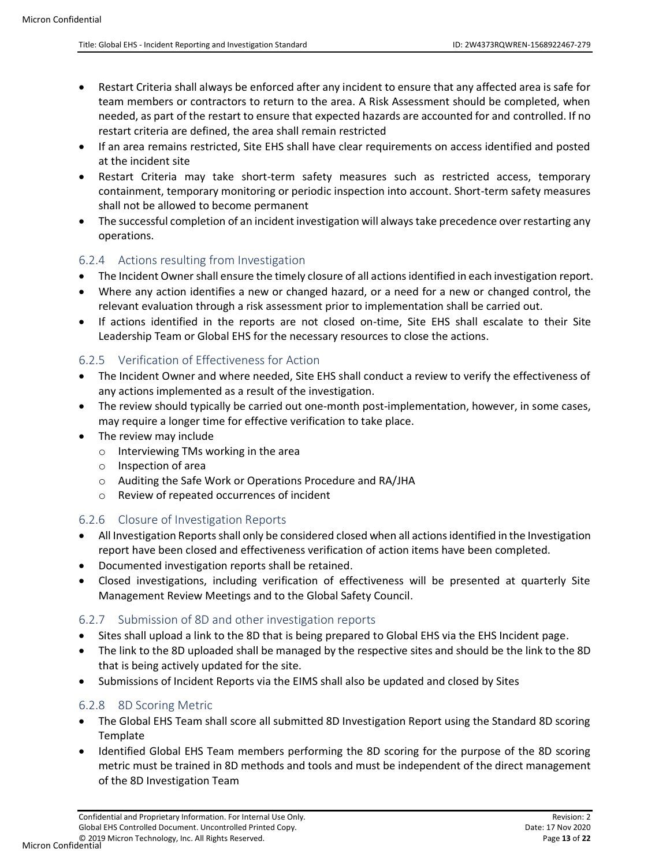- Restart Criteria shall always be enforced after any incident to ensure that any affected area is safe for team members or contractors to return to the area. A Risk Assessment should be completed, when needed, as part of the restart to ensure that expected hazards are accounted for and controlled. If no restart criteria are defined, the area shall remain restricted
- If an area remains restricted, Site EHS shall have clear requirements on access identified and posted at the incident site
- Restart Criteria may take short-term safety measures such as restricted access, temporary containment, temporary monitoring or periodic inspection into account. Short-term safety measures shall not be allowed to become permanent
- The successful completion of an incident investigation will always take precedence over restarting any operations.

### <span id="page-12-0"></span>6.2.4 Actions resulting from Investigation

- The Incident Owner shall ensure the timely closure of all actions identified in each investigation report.
- Where any action identifies a new or changed hazard, or a need for a new or changed control, the relevant evaluation through a risk assessment prior to implementation shall be carried out.
- If actions identified in the reports are not closed on-time, Site EHS shall escalate to their Site Leadership Team or Global EHS for the necessary resources to close the actions.

### <span id="page-12-1"></span>6.2.5 Verification of Effectiveness for Action

- The Incident Owner and where needed, Site EHS shall conduct a review to verify the effectiveness of any actions implemented as a result of the investigation.
- The review should typically be carried out one-month post-implementation, however, in some cases, may require a longer time for effective verification to take place.
- The review may include
	- o Interviewing TMs working in the area
	- o Inspection of area
	- o Auditing the Safe Work or Operations Procedure and RA/JHA
	- o Review of repeated occurrences of incident

### <span id="page-12-2"></span>6.2.6 Closure of Investigation Reports

- All Investigation Reports shall only be considered closed when all actions identified in the Investigation report have been closed and effectiveness verification of action items have been completed.
- Documented investigation reports shall be retained.
- Closed investigations, including verification of effectiveness will be presented at quarterly Site Management Review Meetings and to the Global Safety Council.

### <span id="page-12-3"></span>6.2.7 Submission of 8D and other investigation reports

- Sites shall upload a link to the 8D that is being prepared to Global EHS via the EHS Incident page.
- The link to the 8D uploaded shall be managed by the respective sites and should be the link to the 8D that is being actively updated for the site.
- Submissions of Incident Reports via the EIMS shall also be updated and closed by Sites

### <span id="page-12-4"></span>6.2.8 8D Scoring Metric

- The Global EHS Team shall score all submitted 8D Investigation Report using the Standard 8D scoring Template
- Identified Global EHS Team members performing the 8D scoring for the purpose of the 8D scoring metric must be trained in 8D methods and tools and must be independent of the direct management of the 8D Investigation Team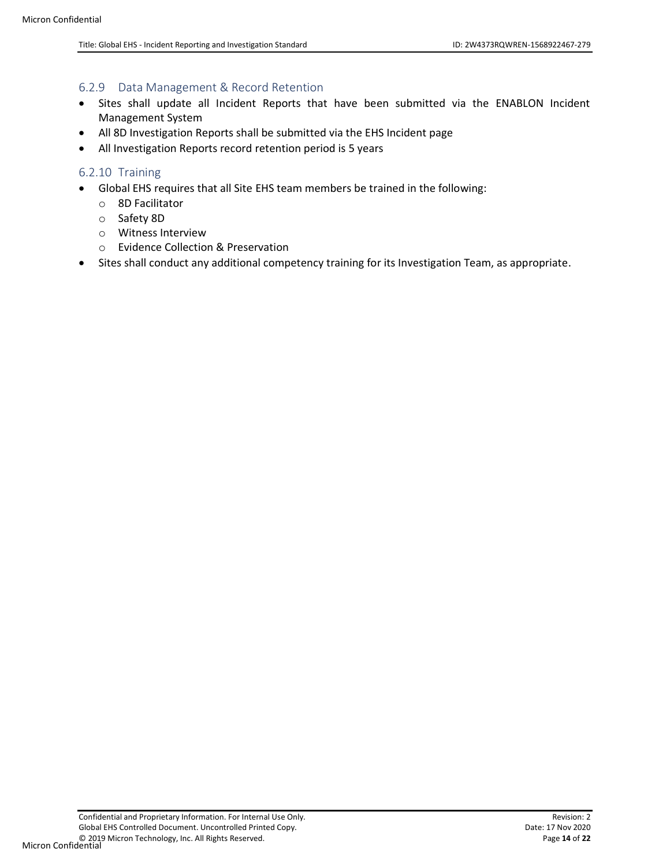#### <span id="page-13-0"></span>6.2.9 Data Management & Record Retention

- Sites shall update all Incident Reports that have been submitted via the ENABLON Incident Management System
- All 8D Investigation Reports shall be submitted via the EHS Incident page
- All Investigation Reports record retention period is 5 years

#### <span id="page-13-1"></span>6.2.10 Training

- Global EHS requires that all Site EHS team members be trained in the following:
	- o 8D Facilitator
	- o Safety 8D
	- o Witness Interview
	- o Evidence Collection & Preservation
- Sites shall conduct any additional competency training for its Investigation Team, as appropriate.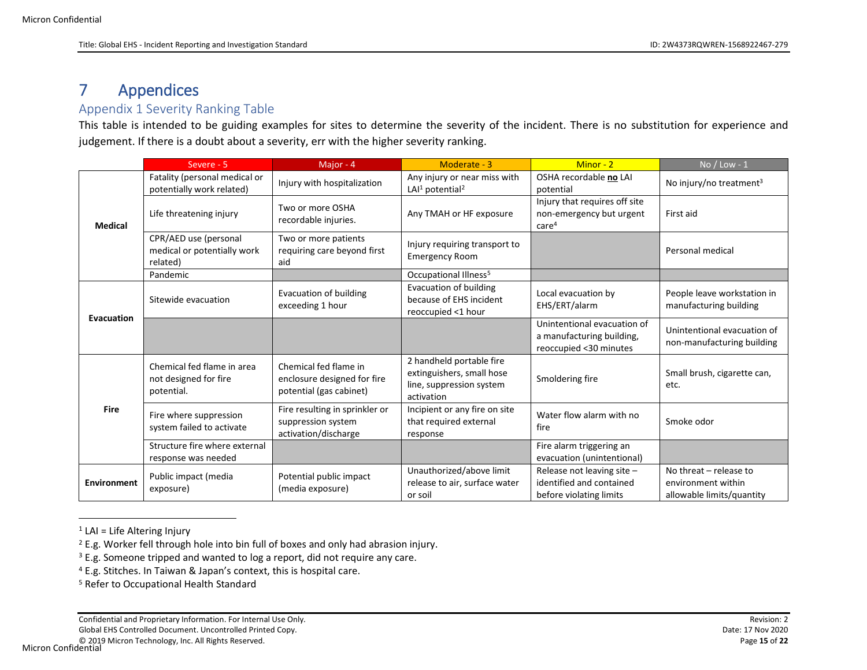# 7 Appendices

# Appendix 1 Severity Ranking Table

This table is intended to be guiding examples for sites to determine the severity of the incident. There is no substitution for experience and judgement. If there is a doubt about a severity, err with the higher severity ranking.

<span id="page-14-1"></span><span id="page-14-0"></span>

|                    | Severe - 5                                                        | Major - 4                                                                       | Moderate - 3                                                                                    | Minor - 2                                                                          | $No / Low - 1$                                                            |
|--------------------|-------------------------------------------------------------------|---------------------------------------------------------------------------------|-------------------------------------------------------------------------------------------------|------------------------------------------------------------------------------------|---------------------------------------------------------------------------|
|                    | Fatality (personal medical or<br>potentially work related)        | Injury with hospitalization                                                     | Any injury or near miss with<br>LAI <sup>1</sup> potential <sup>2</sup>                         | OSHA recordable no LAI<br>potential                                                | No injury/no treatment <sup>3</sup>                                       |
| <b>Medical</b>     | Life threatening injury                                           | Two or more OSHA<br>recordable injuries.                                        | Any TMAH or HF exposure                                                                         | Injury that requires off site<br>non-emergency but urgent<br>care <sup>4</sup>     | First aid                                                                 |
|                    | CPR/AED use (personal<br>medical or potentially work<br>related)  | Two or more patients<br>requiring care beyond first<br>aid                      | Injury requiring transport to<br><b>Emergency Room</b>                                          |                                                                                    | Personal medical                                                          |
|                    | Pandemic                                                          |                                                                                 | Occupational Illness <sup>5</sup>                                                               |                                                                                    |                                                                           |
|                    | Sitewide evacuation                                               | Evacuation of building<br>exceeding 1 hour                                      | Evacuation of building<br>because of EHS incident<br>reoccupied <1 hour                         | Local evacuation by<br>EHS/ERT/alarm                                               | People leave workstation in<br>manufacturing building                     |
| <b>Evacuation</b>  |                                                                   |                                                                                 |                                                                                                 | Unintentional evacuation of<br>a manufacturing building,<br>reoccupied <30 minutes | Unintentional evacuation of<br>non-manufacturing building                 |
| <b>Fire</b>        | Chemical fed flame in area<br>not designed for fire<br>potential. | Chemical fed flame in<br>enclosure designed for fire<br>potential (gas cabinet) | 2 handheld portable fire<br>extinguishers, small hose<br>line, suppression system<br>activation | Smoldering fire                                                                    | Small brush, cigarette can,<br>etc.                                       |
|                    | Fire where suppression<br>system failed to activate               | Fire resulting in sprinkler or<br>suppression system<br>activation/discharge    | Incipient or any fire on site<br>that required external<br>response                             | Water flow alarm with no<br>fire                                                   | Smoke odor                                                                |
|                    | Structure fire where external<br>response was needed              |                                                                                 |                                                                                                 | Fire alarm triggering an<br>evacuation (unintentional)                             |                                                                           |
| <b>Environment</b> | Public impact (media<br>exposure)                                 | Potential public impact<br>(media exposure)                                     | Unauthorized/above limit<br>release to air, surface water<br>or soil                            | Release not leaving site -<br>identified and contained<br>before violating limits  | No threat - release to<br>environment within<br>allowable limits/quantity |

 $1$  LAI = Life Altering Injury

l

<sup>&</sup>lt;sup>2</sup> E.g. Worker fell through hole into bin full of boxes and only had abrasion injury.

<sup>&</sup>lt;sup>3</sup> E.g. Someone tripped and wanted to log a report, did not require any care.

<sup>4</sup> E.g. Stitches. In Taiwan & Japan's context, this is hospital care.

<sup>5</sup> Refer to Occupational Health Standard

Global EHS Controlled Document. Uncontrolled Printed Copy. **Date: 17 Nov 2020** Clouds and Copy.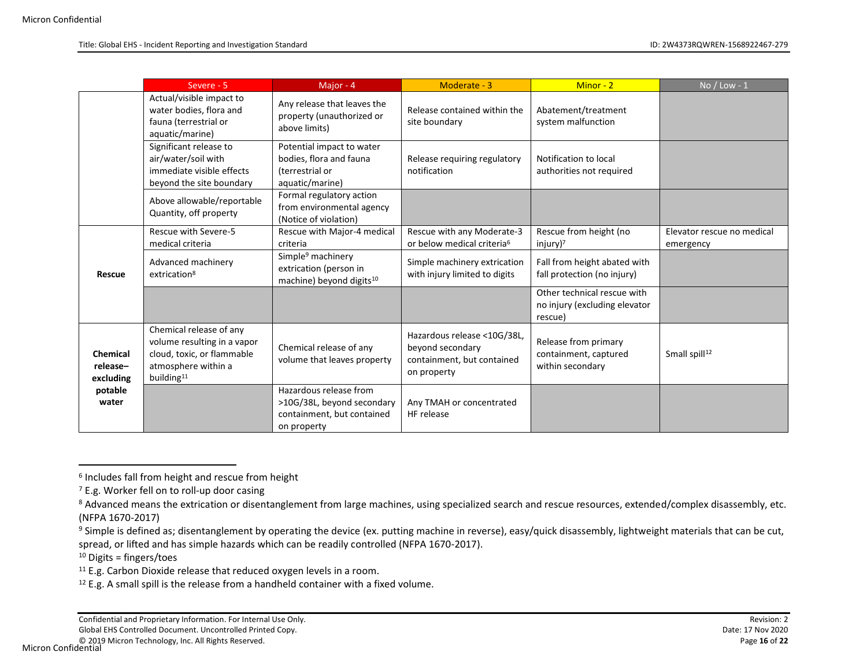|                                                       | Severe - 5                                                                                                                            | Major - 4                                                                                         | Moderate - 3                                                                                 | Minor - 2                                                               | $No / Low - 1$                          |
|-------------------------------------------------------|---------------------------------------------------------------------------------------------------------------------------------------|---------------------------------------------------------------------------------------------------|----------------------------------------------------------------------------------------------|-------------------------------------------------------------------------|-----------------------------------------|
|                                                       | Actual/visible impact to<br>water bodies, flora and<br>fauna (terrestrial or<br>aquatic/marine)                                       | Any release that leaves the<br>property (unauthorized or<br>above limits)                         | Release contained within the<br>site boundary                                                | Abatement/treatment<br>system malfunction                               |                                         |
|                                                       | Significant release to<br>air/water/soil with<br>immediate visible effects<br>beyond the site boundary                                | Potential impact to water<br>bodies, flora and fauna<br>(terrestrial or<br>aquatic/marine)        | Release requiring regulatory<br>notification                                                 | Notification to local<br>authorities not required                       |                                         |
|                                                       | Above allowable/reportable<br>Quantity, off property                                                                                  | Formal regulatory action<br>from environmental agency<br>(Notice of violation)                    |                                                                                              |                                                                         |                                         |
|                                                       | Rescue with Severe-5<br>medical criteria                                                                                              | Rescue with Major-4 medical<br>criteria                                                           | Rescue with any Moderate-3<br>or below medical criteria <sup>6</sup>                         | Rescue from height (no<br>injury) <sup>7</sup>                          | Elevator rescue no medical<br>emergency |
| Rescue                                                | Advanced machinery<br>extrication <sup>8</sup>                                                                                        | Simple <sup>9</sup> machinery<br>extrication (person in<br>machine) beyond digits <sup>10</sup>   | Simple machinery extrication<br>with injury limited to digits                                | Fall from height abated with<br>fall protection (no injury)             |                                         |
|                                                       |                                                                                                                                       |                                                                                                   |                                                                                              | Other technical rescue with<br>no injury (excluding elevator<br>rescue) |                                         |
| Chemical<br>release-<br>excluding<br>potable<br>water | Chemical release of any<br>volume resulting in a vapor<br>cloud, toxic, or flammable<br>atmosphere within a<br>building <sup>11</sup> | Chemical release of any<br>volume that leaves property                                            | Hazardous release <10G/38L,<br>beyond secondary<br>containment, but contained<br>on property | Release from primary<br>containment, captured<br>within secondary       | Small spill <sup>12</sup>               |
|                                                       |                                                                                                                                       | Hazardous release from<br>>10G/38L, beyond secondary<br>containment, but contained<br>on property | Any TMAH or concentrated<br>HF release                                                       |                                                                         |                                         |

 $\overline{a}$ 6 Includes fall from height and rescue from height

<sup>10</sup> Digits = fingers/toes

<sup>7</sup> E.g. Worker fell on to roll-up door casing

<sup>&</sup>lt;sup>8</sup> Advanced means the extrication or disentanglement from large machines, using specialized search and rescue resources, extended/complex disassembly, etc. (NFPA 1670-2017)

<sup>&</sup>lt;sup>9</sup> Simple is defined as; disentanglement by operating the device (ex. putting machine in reverse), easy/quick disassembly, lightweight materials that can be cut, spread, or lifted and has simple hazards which can be readily controlled (NFPA 1670-2017).

 $11$  E.g. Carbon Dioxide release that reduced oxygen levels in a room.

<sup>&</sup>lt;sup>12</sup> E.g. A small spill is the release from a handheld container with a fixed volume.

Confidential and Proprietary Information. For Internal Use Only. Revision: 2

Global EHS Controlled Document. Uncontrolled Printed Copy. **Date: 17 Nov 2020** Clouds and Copy.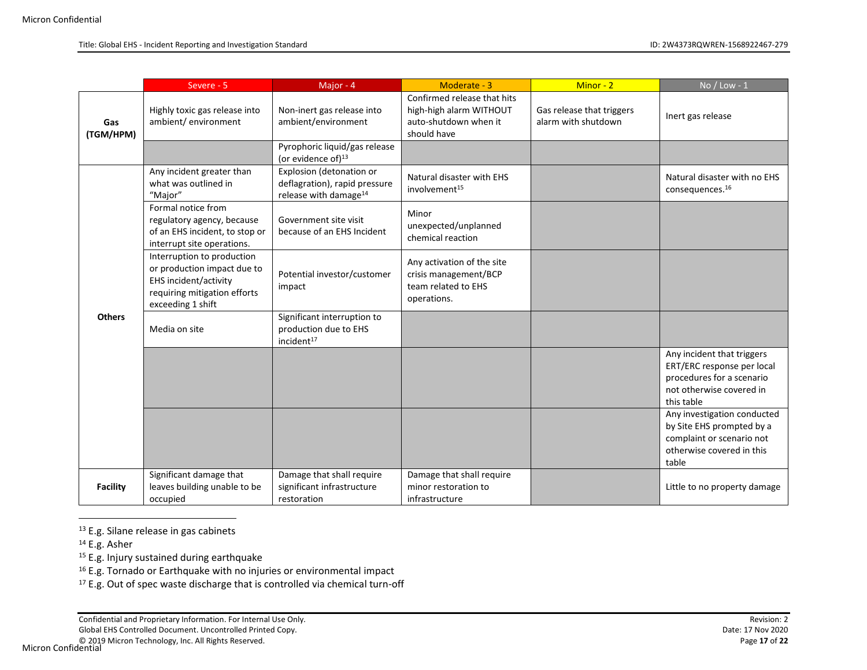|                  | Severe - 5                                                                                                                              | Major - 4                                                                                      | Moderate - 3                                                                                   | Minor - 2                                        | No / Low - $1$                                                                                                                  |
|------------------|-----------------------------------------------------------------------------------------------------------------------------------------|------------------------------------------------------------------------------------------------|------------------------------------------------------------------------------------------------|--------------------------------------------------|---------------------------------------------------------------------------------------------------------------------------------|
| Gas<br>(TGM/HPM) | Highly toxic gas release into<br>ambient/environment                                                                                    | Non-inert gas release into<br>ambient/environment                                              | Confirmed release that hits<br>high-high alarm WITHOUT<br>auto-shutdown when it<br>should have | Gas release that triggers<br>alarm with shutdown | Inert gas release                                                                                                               |
|                  |                                                                                                                                         | Pyrophoric liquid/gas release<br>(or evidence of) $13$                                         |                                                                                                |                                                  |                                                                                                                                 |
|                  | Any incident greater than<br>what was outlined in<br>"Major"                                                                            | Explosion (detonation or<br>deflagration), rapid pressure<br>release with damage <sup>14</sup> | Natural disaster with EHS<br>involvement <sup>15</sup>                                         |                                                  | Natural disaster with no EHS<br>consequences. <sup>16</sup>                                                                     |
|                  | Formal notice from<br>regulatory agency, because<br>of an EHS incident, to stop or<br>interrupt site operations.                        | Government site visit<br>because of an EHS Incident                                            | Minor<br>unexpected/unplanned<br>chemical reaction                                             |                                                  |                                                                                                                                 |
|                  | Interruption to production<br>or production impact due to<br>EHS incident/activity<br>requiring mitigation efforts<br>exceeding 1 shift | Potential investor/customer<br>impact                                                          | Any activation of the site<br>crisis management/BCP<br>team related to EHS<br>operations.      |                                                  |                                                                                                                                 |
| <b>Others</b>    | Media on site                                                                                                                           | Significant interruption to<br>production due to EHS<br>incident <sup>17</sup>                 |                                                                                                |                                                  |                                                                                                                                 |
|                  |                                                                                                                                         |                                                                                                |                                                                                                |                                                  | Any incident that triggers<br>ERT/ERC response per local<br>procedures for a scenario<br>not otherwise covered in<br>this table |
|                  |                                                                                                                                         |                                                                                                |                                                                                                |                                                  | Any investigation conducted<br>by Site EHS prompted by a<br>complaint or scenario not<br>otherwise covered in this<br>table     |
| <b>Facility</b>  | Significant damage that<br>leaves building unable to be<br>occupied                                                                     | Damage that shall require<br>significant infrastructure<br>restoration                         | Damage that shall require<br>minor restoration to<br>infrastructure                            |                                                  | Little to no property damage                                                                                                    |

<sup>13</sup> E.g. Silane release in gas cabinets

<sup>14</sup> E.g. Asher

l

<sup>15</sup> E.g. Injury sustained during earthquake

<sup>16</sup> E.g. Tornado or Earthquake with no injuries or environmental impact

<sup>17</sup> E.g. Out of spec waste discharge that is controlled via chemical turn-off

Confidential and Proprietary Information. For Internal Use Only. Revision: 2

Global EHS Controlled Document. Uncontrolled Printed Copy.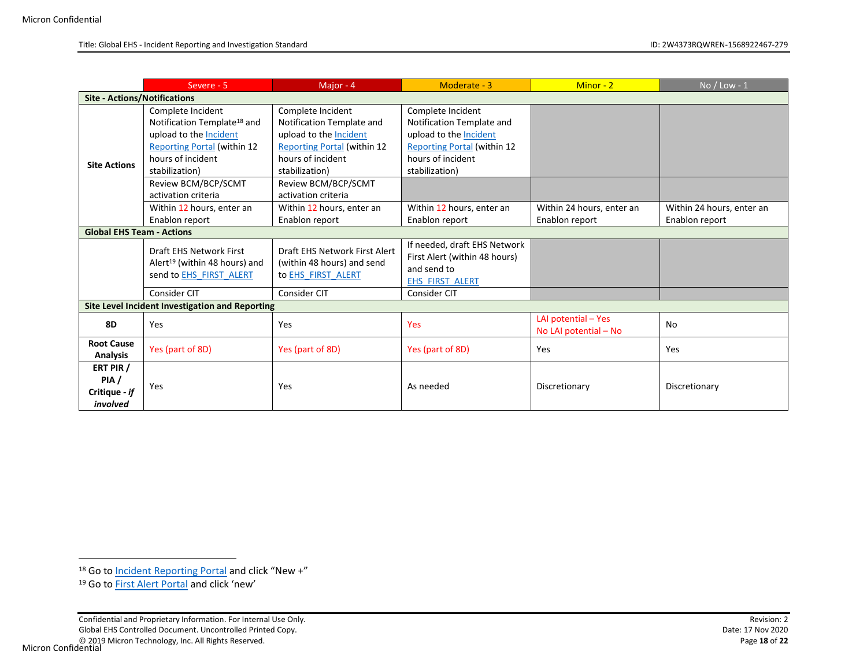|                                                | Severe - 5                                                                                      | Major - 4                                                                         | Moderate - 3                                                                                           | Minor - 2                                    | $No / Low - 1$            |  |  |  |
|------------------------------------------------|-------------------------------------------------------------------------------------------------|-----------------------------------------------------------------------------------|--------------------------------------------------------------------------------------------------------|----------------------------------------------|---------------------------|--|--|--|
|                                                | <b>Site - Actions/Notifications</b>                                                             |                                                                                   |                                                                                                        |                                              |                           |  |  |  |
|                                                | Complete Incident                                                                               | Complete Incident                                                                 | Complete Incident                                                                                      |                                              |                           |  |  |  |
|                                                | Notification Template <sup>18</sup> and                                                         | Notification Template and                                                         | Notification Template and                                                                              |                                              |                           |  |  |  |
|                                                | upload to the Incident                                                                          | upload to the <b>Incident</b>                                                     | upload to the Incident                                                                                 |                                              |                           |  |  |  |
|                                                | <b>Reporting Portal (within 12</b>                                                              | <b>Reporting Portal (within 12</b>                                                | <b>Reporting Portal (within 12</b>                                                                     |                                              |                           |  |  |  |
|                                                | hours of incident                                                                               | hours of incident                                                                 | hours of incident                                                                                      |                                              |                           |  |  |  |
| <b>Site Actions</b>                            | stabilization)                                                                                  | stabilization)                                                                    | stabilization)                                                                                         |                                              |                           |  |  |  |
|                                                | Review BCM/BCP/SCMT                                                                             | Review BCM/BCP/SCMT                                                               |                                                                                                        |                                              |                           |  |  |  |
|                                                | activation criteria                                                                             | activation criteria                                                               |                                                                                                        |                                              |                           |  |  |  |
|                                                | Within 12 hours, enter an                                                                       | Within 12 hours, enter an                                                         | Within 12 hours, enter an                                                                              | Within 24 hours, enter an                    | Within 24 hours, enter an |  |  |  |
|                                                | Enablon report                                                                                  | Enablon report                                                                    | Enablon report                                                                                         | Enablon report                               | Enablon report            |  |  |  |
| <b>Global EHS Team - Actions</b>               |                                                                                                 |                                                                                   |                                                                                                        |                                              |                           |  |  |  |
|                                                | Draft EHS Network First<br>Alert <sup>19</sup> (within 48 hours) and<br>send to EHS FIRST ALERT | Draft EHS Network First Alert<br>(within 48 hours) and send<br>to EHS FIRST ALERT | If needed, draft EHS Network<br>First Alert (within 48 hours)<br>and send to<br><b>EHS FIRST ALERT</b> |                                              |                           |  |  |  |
|                                                | Consider CIT                                                                                    | Consider CIT                                                                      | <b>Consider CIT</b>                                                                                    |                                              |                           |  |  |  |
|                                                | Site Level Incident Investigation and Reporting                                                 |                                                                                   |                                                                                                        |                                              |                           |  |  |  |
| <b>8D</b>                                      | Yes                                                                                             | Yes                                                                               | <b>Yes</b>                                                                                             | LAI potential - Yes<br>No LAI potential - No | No                        |  |  |  |
| <b>Root Cause</b><br><b>Analysis</b>           | Yes (part of 8D)                                                                                | Yes (part of 8D)                                                                  | Yes (part of 8D)                                                                                       | Yes                                          | Yes                       |  |  |  |
| ERT PIR /<br>PIA/<br>Critique - if<br>involved | Yes                                                                                             | Yes                                                                               | As needed                                                                                              | Discretionary                                | Discretionary             |  |  |  |

Global EHS Controlled Document. Uncontrolled Printed Copy.

 $\overline{\phantom{a}}$ 

<sup>&</sup>lt;sup>18</sup> Go to **Incident Reporting Portal** and click "New +"

<sup>&</sup>lt;sup>19</sup> Go t[o First Alert Portal](#page-6-3) and click 'new'

Confidential and Proprietary Information. For Internal Use Only. Revision: 2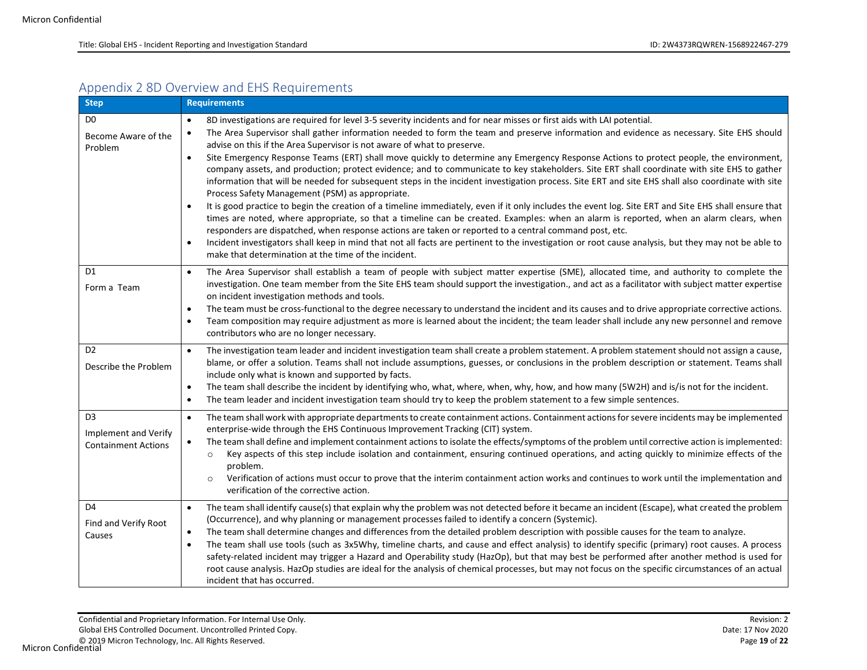### Appendix 2 8D Overview and EHS Requirements

<span id="page-18-0"></span>

| <b>Step</b>                                                          | <b>Requirements</b>                                                                                                                                                                                                                                                                                                                                                                                                                                                                                                                                                                                                                                                                                                                                                                                                                                                                                                                                                                                                                                                                                                                                                                                                                                                                                                                                                                                                                                                                                                          |
|----------------------------------------------------------------------|------------------------------------------------------------------------------------------------------------------------------------------------------------------------------------------------------------------------------------------------------------------------------------------------------------------------------------------------------------------------------------------------------------------------------------------------------------------------------------------------------------------------------------------------------------------------------------------------------------------------------------------------------------------------------------------------------------------------------------------------------------------------------------------------------------------------------------------------------------------------------------------------------------------------------------------------------------------------------------------------------------------------------------------------------------------------------------------------------------------------------------------------------------------------------------------------------------------------------------------------------------------------------------------------------------------------------------------------------------------------------------------------------------------------------------------------------------------------------------------------------------------------------|
| D <sub>0</sub><br>Become Aware of the<br>Problem                     | 8D investigations are required for level 3-5 severity incidents and for near misses or first aids with LAI potential.<br>The Area Supervisor shall gather information needed to form the team and preserve information and evidence as necessary. Site EHS should<br>$\bullet$<br>advise on this if the Area Supervisor is not aware of what to preserve.<br>Site Emergency Response Teams (ERT) shall move quickly to determine any Emergency Response Actions to protect people, the environment,<br>$\bullet$<br>company assets, and production; protect evidence; and to communicate to key stakeholders. Site ERT shall coordinate with site EHS to gather<br>information that will be needed for subsequent steps in the incident investigation process. Site ERT and site EHS shall also coordinate with site<br>Process Safety Management (PSM) as appropriate.<br>It is good practice to begin the creation of a timeline immediately, even if it only includes the event log. Site ERT and Site EHS shall ensure that<br>$\bullet$<br>times are noted, where appropriate, so that a timeline can be created. Examples: when an alarm is reported, when an alarm clears, when<br>responders are dispatched, when response actions are taken or reported to a central command post, etc.<br>Incident investigators shall keep in mind that not all facts are pertinent to the investigation or root cause analysis, but they may not be able to<br>$\bullet$<br>make that determination at the time of the incident. |
| D <sub>1</sub><br>Form a Team                                        | The Area Supervisor shall establish a team of people with subject matter expertise (SME), allocated time, and authority to complete the<br>$\bullet$<br>investigation. One team member from the Site EHS team should support the investigation., and act as a facilitator with subject matter expertise<br>on incident investigation methods and tools.<br>The team must be cross-functional to the degree necessary to understand the incident and its causes and to drive appropriate corrective actions.<br>$\bullet$<br>Team composition may require adjustment as more is learned about the incident; the team leader shall include any new personnel and remove<br>$\bullet$<br>contributors who are no longer necessary.                                                                                                                                                                                                                                                                                                                                                                                                                                                                                                                                                                                                                                                                                                                                                                                              |
| D <sub>2</sub><br>Describe the Problem                               | The investigation team leader and incident investigation team shall create a problem statement. A problem statement should not assign a cause,<br>$\bullet$<br>blame, or offer a solution. Teams shall not include assumptions, guesses, or conclusions in the problem description or statement. Teams shall<br>include only what is known and supported by facts.<br>The team shall describe the incident by identifying who, what, where, when, why, how, and how many (5W2H) and is/is not for the incident.<br>$\bullet$<br>The team leader and incident investigation team should try to keep the problem statement to a few simple sentences.<br>$\bullet$                                                                                                                                                                                                                                                                                                                                                                                                                                                                                                                                                                                                                                                                                                                                                                                                                                                             |
| D <sub>3</sub><br>Implement and Verify<br><b>Containment Actions</b> | The team shall work with appropriate departments to create containment actions. Containment actions for severe incidents may be implemented<br>$\bullet$<br>enterprise-wide through the EHS Continuous Improvement Tracking (CIT) system.<br>The team shall define and implement containment actions to isolate the effects/symptoms of the problem until corrective action is implemented:<br>Key aspects of this step include isolation and containment, ensuring continued operations, and acting quickly to minimize effects of the<br>$\circ$<br>problem.<br>Verification of actions must occur to prove that the interim containment action works and continues to work until the implementation and<br>$\circ$<br>verification of the corrective action.                                                                                                                                                                                                                                                                                                                                                                                                                                                                                                                                                                                                                                                                                                                                                              |
| D <sub>4</sub><br>Find and Verify Root<br>Causes                     | The team shall identify cause(s) that explain why the problem was not detected before it became an incident (Escape), what created the problem<br>$\bullet$<br>(Occurrence), and why planning or management processes failed to identify a concern (Systemic).<br>The team shall determine changes and differences from the detailed problem description with possible causes for the team to analyze.<br>$\bullet$<br>The team shall use tools (such as 3x5Why, timeline charts, and cause and effect analysis) to identify specific (primary) root causes. A process<br>$\bullet$<br>safety-related incident may trigger a Hazard and Operability study (HazOp), but that may best be performed after another method is used for<br>root cause analysis. HazOp studies are ideal for the analysis of chemical processes, but may not focus on the specific circumstances of an actual<br>incident that has occurred.                                                                                                                                                                                                                                                                                                                                                                                                                                                                                                                                                                                                       |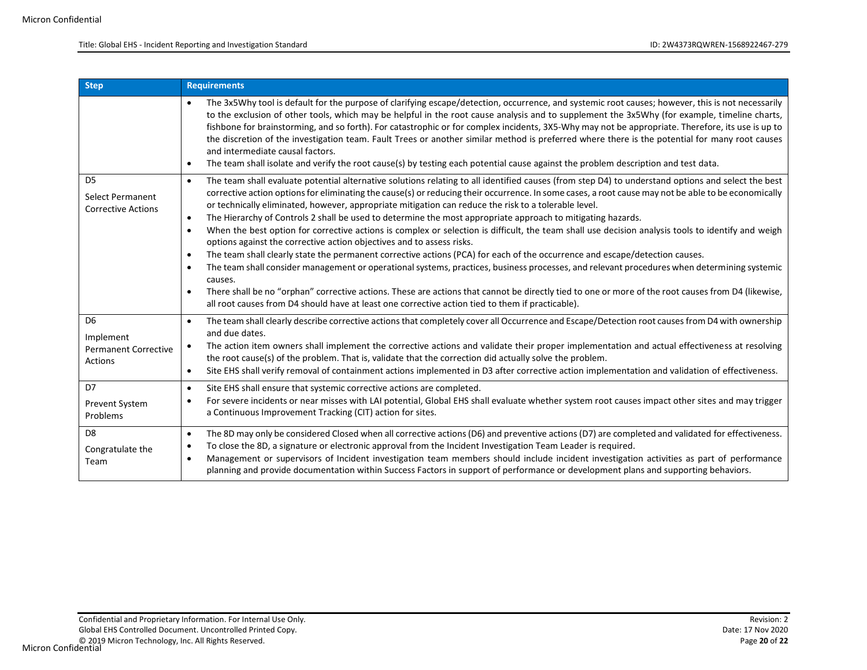| <b>Step</b>                                                                  | <b>Requirements</b>                                                                                                                                                                                                                                                                                                                                                                                                                                                                                                                                                                                                                                                                                                                                                                                                                                                                                                                                                                                                                                                                                                                                                                                                                                                                                                                                                                 |
|------------------------------------------------------------------------------|-------------------------------------------------------------------------------------------------------------------------------------------------------------------------------------------------------------------------------------------------------------------------------------------------------------------------------------------------------------------------------------------------------------------------------------------------------------------------------------------------------------------------------------------------------------------------------------------------------------------------------------------------------------------------------------------------------------------------------------------------------------------------------------------------------------------------------------------------------------------------------------------------------------------------------------------------------------------------------------------------------------------------------------------------------------------------------------------------------------------------------------------------------------------------------------------------------------------------------------------------------------------------------------------------------------------------------------------------------------------------------------|
|                                                                              | The 3x5Why tool is default for the purpose of clarifying escape/detection, occurrence, and systemic root causes; however, this is not necessarily<br>to the exclusion of other tools, which may be helpful in the root cause analysis and to supplement the 3x5Why (for example, timeline charts,<br>fishbone for brainstorming, and so forth). For catastrophic or for complex incidents, 3X5-Why may not be appropriate. Therefore, its use is up to<br>the discretion of the investigation team. Fault Trees or another similar method is preferred where there is the potential for many root causes<br>and intermediate causal factors.<br>The team shall isolate and verify the root cause(s) by testing each potential cause against the problem description and test data.<br>$\bullet$                                                                                                                                                                                                                                                                                                                                                                                                                                                                                                                                                                                     |
| D <sub>5</sub><br>Select Permanent<br><b>Corrective Actions</b>              | The team shall evaluate potential alternative solutions relating to all identified causes (from step D4) to understand options and select the best<br>$\bullet$<br>corrective action options for eliminating the cause(s) or reducing their occurrence. In some cases, a root cause may not be able to be economically<br>or technically eliminated, however, appropriate mitigation can reduce the risk to a tolerable level.<br>The Hierarchy of Controls 2 shall be used to determine the most appropriate approach to mitigating hazards.<br>$\bullet$<br>When the best option for corrective actions is complex or selection is difficult, the team shall use decision analysis tools to identify and weigh<br>$\bullet$<br>options against the corrective action objectives and to assess risks.<br>The team shall clearly state the permanent corrective actions (PCA) for each of the occurrence and escape/detection causes.<br>$\bullet$<br>The team shall consider management or operational systems, practices, business processes, and relevant procedures when determining systemic<br>causes.<br>There shall be no "orphan" corrective actions. These are actions that cannot be directly tied to one or more of the root causes from D4 (likewise,<br>$\bullet$<br>all root causes from D4 should have at least one corrective action tied to them if practicable). |
| D <sub>6</sub><br>Implement<br><b>Permanent Corrective</b><br><b>Actions</b> | The team shall clearly describe corrective actions that completely cover all Occurrence and Escape/Detection root causes from D4 with ownership<br>$\bullet$<br>and due dates.<br>The action item owners shall implement the corrective actions and validate their proper implementation and actual effectiveness at resolving<br>the root cause(s) of the problem. That is, validate that the correction did actually solve the problem.<br>Site EHS shall verify removal of containment actions implemented in D3 after corrective action implementation and validation of effectiveness.<br>$\bullet$                                                                                                                                                                                                                                                                                                                                                                                                                                                                                                                                                                                                                                                                                                                                                                            |
| D7<br>Prevent System<br>Problems                                             | Site EHS shall ensure that systemic corrective actions are completed.<br>$\bullet$<br>For severe incidents or near misses with LAI potential, Global EHS shall evaluate whether system root causes impact other sites and may trigger<br>$\bullet$<br>a Continuous Improvement Tracking (CIT) action for sites.                                                                                                                                                                                                                                                                                                                                                                                                                                                                                                                                                                                                                                                                                                                                                                                                                                                                                                                                                                                                                                                                     |
| D <sub>8</sub><br>Congratulate the<br>Team                                   | The 8D may only be considered Closed when all corrective actions (D6) and preventive actions (D7) are completed and validated for effectiveness.<br>$\bullet$<br>To close the 8D, a signature or electronic approval from the Incident Investigation Team Leader is required.<br>$\bullet$<br>Management or supervisors of Incident investigation team members should include incident investigation activities as part of performance<br>$\bullet$<br>planning and provide documentation within Success Factors in support of performance or development plans and supporting behaviors.                                                                                                                                                                                                                                                                                                                                                                                                                                                                                                                                                                                                                                                                                                                                                                                           |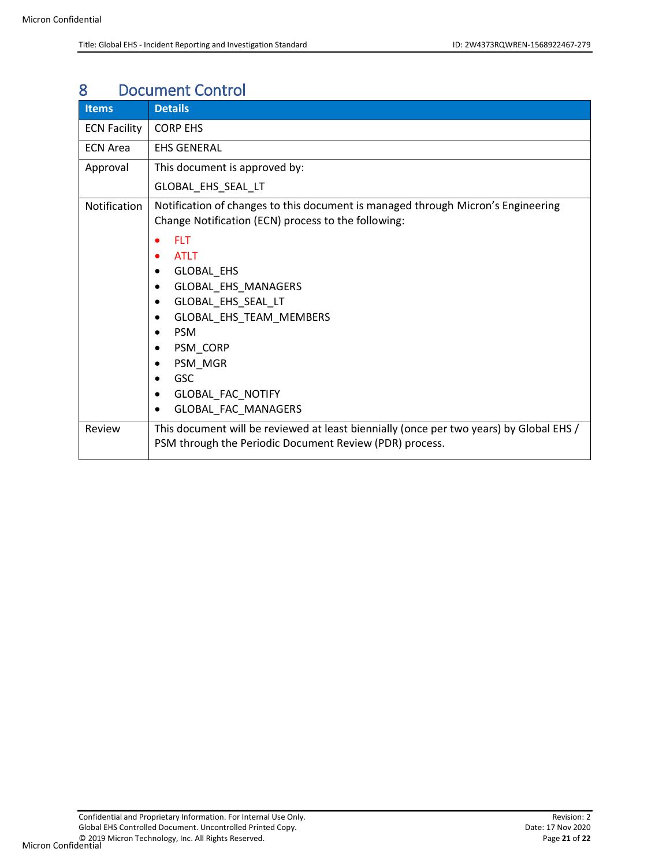# <span id="page-20-0"></span>8 Document Control

| Items               | <b>Details</b>                                                                                                                                                                                                                                                 |  |  |
|---------------------|----------------------------------------------------------------------------------------------------------------------------------------------------------------------------------------------------------------------------------------------------------------|--|--|
| <b>ECN Facility</b> | <b>CORP EHS</b>                                                                                                                                                                                                                                                |  |  |
| <b>ECN Area</b>     | <b>EHS GENERAL</b>                                                                                                                                                                                                                                             |  |  |
| Approval            | This document is approved by:                                                                                                                                                                                                                                  |  |  |
|                     | GLOBAL_EHS_SEAL_LT                                                                                                                                                                                                                                             |  |  |
| Notification        | Notification of changes to this document is managed through Micron's Engineering<br>Change Notification (ECN) process to the following:                                                                                                                        |  |  |
|                     | <b>FLT</b><br><b>ATLT</b><br><b>GLOBAL EHS</b><br>GLOBAL_EHS_MANAGERS<br>٠<br>GLOBAL_EHS_SEAL_LT<br>$\bullet$<br>GLOBAL_EHS_TEAM_MEMBERS<br>٠<br><b>PSM</b><br>PSM_CORP<br>PSM_MGR<br><b>GSC</b><br>$\bullet$<br>GLOBAL_FAC_NOTIFY<br>٠<br>GLOBAL_FAC_MANAGERS |  |  |
| Review              | This document will be reviewed at least biennially (once per two years) by Global EHS /<br>PSM through the Periodic Document Review (PDR) process.                                                                                                             |  |  |